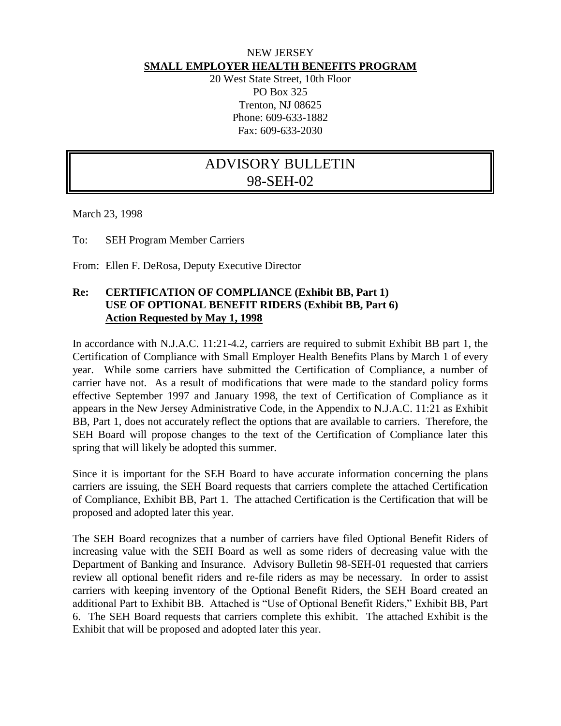## NEW JERSEY **SMALL EMPLOYER HEALTH BENEFITS PROGRAM**

20 West State Street, 10th Floor PO Box 325 Trenton, NJ 08625 Phone: 609-633-1882 Fax: 609-633-2030

## ADVISORY BULLETIN 98-SEH-02

March 23, 1998

To: SEH Program Member Carriers

From: Ellen F. DeRosa, Deputy Executive Director

## **Re: CERTIFICATION OF COMPLIANCE (Exhibit BB, Part 1) USE OF OPTIONAL BENEFIT RIDERS (Exhibit BB, Part 6) Action Requested by May 1, 1998**

In accordance with N.J.A.C. 11:21-4.2, carriers are required to submit Exhibit BB part 1, the Certification of Compliance with Small Employer Health Benefits Plans by March 1 of every year. While some carriers have submitted the Certification of Compliance, a number of carrier have not. As a result of modifications that were made to the standard policy forms effective September 1997 and January 1998, the text of Certification of Compliance as it appears in the New Jersey Administrative Code, in the Appendix to N.J.A.C. 11:21 as Exhibit BB, Part 1, does not accurately reflect the options that are available to carriers. Therefore, the SEH Board will propose changes to the text of the Certification of Compliance later this spring that will likely be adopted this summer.

Since it is important for the SEH Board to have accurate information concerning the plans carriers are issuing, the SEH Board requests that carriers complete the attached Certification of Compliance, Exhibit BB, Part 1. The attached Certification is the Certification that will be proposed and adopted later this year.

The SEH Board recognizes that a number of carriers have filed Optional Benefit Riders of increasing value with the SEH Board as well as some riders of decreasing value with the Department of Banking and Insurance. Advisory Bulletin 98-SEH-01 requested that carriers review all optional benefit riders and re-file riders as may be necessary. In order to assist carriers with keeping inventory of the Optional Benefit Riders, the SEH Board created an additional Part to Exhibit BB. Attached is "Use of Optional Benefit Riders," Exhibit BB, Part 6. The SEH Board requests that carriers complete this exhibit. The attached Exhibit is the Exhibit that will be proposed and adopted later this year.